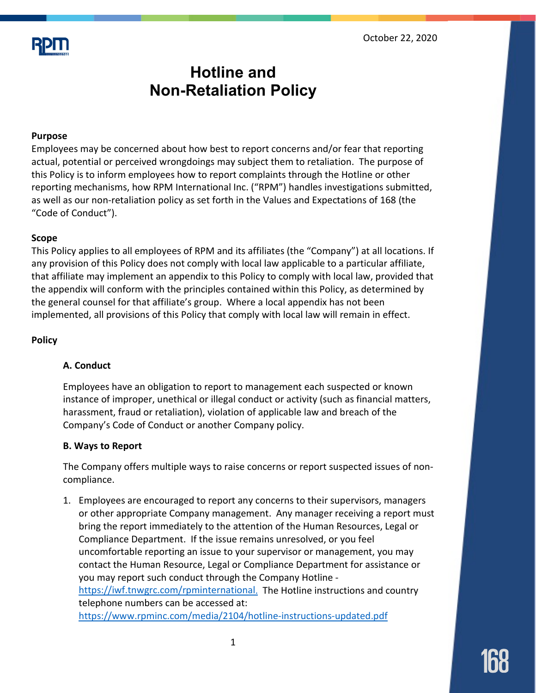

# **Hotline and Non-Retaliation Policy**

# **Purpose**

Employees may be concerned about how best to report concerns and/or fear that reporting actual, potential or perceived wrongdoings may subject them to retaliation. The purpose of this Policy is to inform employees how to report complaints through the Hotline or other reporting mechanisms, how RPM International Inc. ("RPM") handles investigations submitted, as well as our non-retaliation policy as set forth in the Values and Expectations of 168 (the "Code of Conduct").

# **Scope**

This Policy applies to all employees of RPM and its affiliates (the "Company") at all locations. If any provision of this Policy does not comply with local law applicable to a particular affiliate, that affiliate may implement an appendix to this Policy to comply with local law, provided that the appendix will conform with the principles contained within this Policy, as determined by the general counsel for that affiliate's group. Where a local appendix has not been implemented, all provisions of this Policy that comply with local law will remain in effect.

# **Policy**

# **A. Conduct**

Employees have an obligation to report to management each suspected or known instance of improper, unethical or illegal conduct or activity (such as financial matters, harassment, fraud or retaliation), violation of applicable law and breach of the Company's Code of Conduct or another Company policy.

#### **B. Ways to Report**

The Company offers multiple ways to raise concerns or report suspected issues of noncompliance.

1. Employees are encouraged to report any concerns to their supervisors, managers or other appropriate Company management. Any manager receiving a report must bring the report immediately to the attention of the Human Resources, Legal or Compliance Department. If the issue remains unresolved, or you feel uncomfortable reporting an issue to your supervisor or management, you may contact the Human Resource, Legal or Compliance Department for assistance or you may report such conduct through the Company Hotline [https://iwf.tnwgrc.com/rpminternational.](https://iwf.tnwgrc.com/rpminternational) The Hotline instructions and country telephone numbers can be accessed at: <https://www.rpminc.com/media/2104/hotline-instructions-updated.pdf>